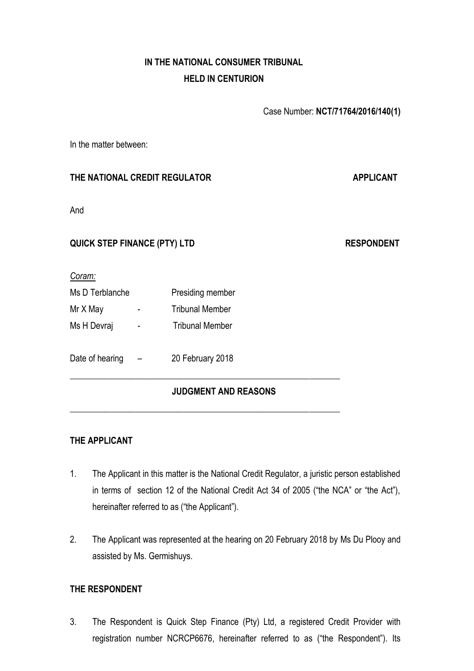# **IN THE NATIONAL CONSUMER TRIBUNAL HELD IN CENTURION**

Case Number: **NCT/71764/2016/140(1)** 

In the matter between:

## **THE NATIONAL CREDIT REGULATOR APPLICANT**

And

## **QUICK STEP FINANCE (PTY) LTD RESPONDENT**

*Coram:*

| Ms D Terblanche |   | Presiding member       |
|-----------------|---|------------------------|
| Mr X May        |   | <b>Tribunal Member</b> |
| Ms H Devraj     | - | <b>Tribunal Member</b> |
|                 |   |                        |

# Date of hearing – 20 February 2018

## **JUDGMENT AND REASONS**

**\_\_\_\_\_\_\_\_\_\_\_\_\_\_\_\_\_\_\_\_\_\_\_\_\_\_\_\_\_\_\_\_\_\_\_\_\_\_\_\_\_\_\_\_\_\_\_\_\_\_\_\_\_\_\_\_\_\_\_\_\_\_**

**\_\_\_\_\_\_\_\_\_\_\_\_\_\_\_\_\_\_\_\_\_\_\_\_\_\_\_\_\_\_\_\_\_\_\_\_\_\_\_\_\_\_\_\_\_\_\_\_\_\_\_\_\_\_\_\_\_\_\_\_\_\_**

## **THE APPLICANT**

- 1. The Applicant in this matter is the National Credit Regulator, a juristic person established in terms of section 12 of the National Credit Act 34 of 2005 ("the NCA" or "the Act"), hereinafter referred to as ("the Applicant").
- 2. The Applicant was represented at the hearing on 20 February 2018 by Ms Du Plooy and assisted by Ms. Germishuys.

## **THE RESPONDENT**

3. The Respondent is Quick Step Finance (Pty) Ltd, a registered Credit Provider with registration number NCRCP6676, hereinafter referred to as ("the Respondent"). Its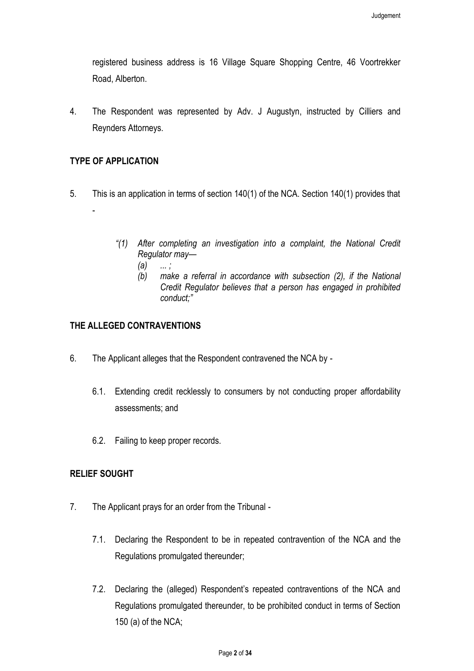registered business address is 16 Village Square Shopping Centre, 46 Voortrekker Road, Alberton.

4. The Respondent was represented by Adv. J Augustyn, instructed by Cilliers and Reynders Attorneys.

### **TYPE OF APPLICATION**

- 5. This is an application in terms of section 140(1) of the NCA. Section 140(1) provides that -
	- *"(1) After completing an investigation into a complaint, the National Credit Regulator may—*
		- *(a) ... ;*
		- *(b) make a referral in accordance with subsection (2), if the National Credit Regulator believes that a person has engaged in prohibited conduct;"*

## **THE ALLEGED CONTRAVENTIONS**

- 6. The Applicant alleges that the Respondent contravened the NCA by
	- 6.1. Extending credit recklessly to consumers by not conducting proper affordability assessments; and
	- 6.2. Failing to keep proper records.

### **RELIEF SOUGHT**

- 7. The Applicant prays for an order from the Tribunal
	- 7.1. Declaring the Respondent to be in repeated contravention of the NCA and the Regulations promulgated thereunder;
	- 7.2. Declaring the (alleged) Respondent's repeated contraventions of the NCA and Regulations promulgated thereunder, to be prohibited conduct in terms of Section 150 (a) of the NCA;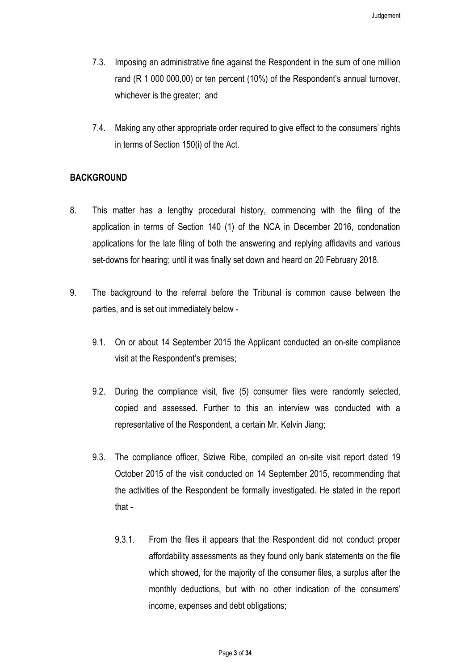- 7.3. Imposing an administrative fine against the Respondent in the sum of one million rand (R 1 000 000,00) or ten percent (10%) of the Respondent's annual turnover, whichever is the greater; and
- 7.4. Making any other appropriate order required to give effect to the consumers' rights in terms of Section 150(i) of the Act.

#### **BACKGROUND**

- 8. This matter has a lengthy procedural history, commencing with the filing of the application in terms of Section 140 (1) of the NCA in December 2016, condonation applications for the late filing of both the answering and replying affidavits and various set-downs for hearing; until it was finally set down and heard on 20 February 2018.
- <span id="page-2-2"></span><span id="page-2-1"></span><span id="page-2-0"></span>9. The background to the referral before the Tribunal is common cause between the parties, and is set out immediately below -
	- 9.1. On or about 14 September 2015 the Applicant conducted an on-site compliance visit at the Respondent's premises;
	- 9.2. During the compliance visit, five (5) consumer files were randomly selected, copied and assessed. Further to this an interview was conducted with a representative of the Respondent, a certain Mr. Kelvin Jiang;
	- 9.3. The compliance officer, Siziwe Ribe, compiled an on-site visit report dated 19 October 2015 of the visit conducted on 14 September 2015, recommending that the activities of the Respondent be formally investigated. He stated in the report that -
		- 9.3.1. From the files it appears that the Respondent did not conduct proper affordability assessments as they found only bank statements on the file which showed, for the majority of the consumer files, a surplus after the monthly deductions, but with no other indication of the consumers' income, expenses and debt obligations;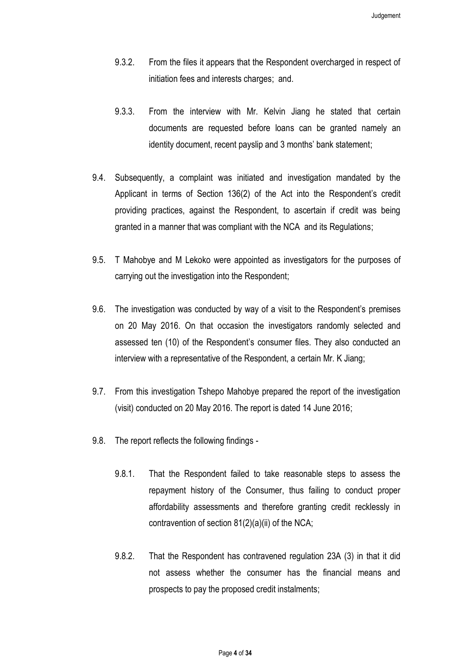- 9.3.2. From the files it appears that the Respondent overcharged in respect of initiation fees and interests charges; and.
- 9.3.3. From the interview with Mr. Kelvin Jiang he stated that certain documents are requested before loans can be granted namely an identity document, recent payslip and 3 months' bank statement;
- 9.4. Subsequently, a complaint was initiated and investigation mandated by the Applicant in terms of Section 136(2) of the Act into the Respondent's credit providing practices, against the Respondent, to ascertain if credit was being granted in a manner that was compliant with the NCA and its Regulations;
- 9.5. T Mahobye and M Lekoko were appointed as investigators for the purposes of carrying out the investigation into the Respondent;
- 9.6. The investigation was conducted by way of a visit to the Respondent's premises on 20 May 2016. On that occasion the investigators randomly selected and assessed ten (10) of the Respondent's consumer files. They also conducted an interview with a representative of the Respondent, a certain Mr. K Jiang;
- 9.7. From this investigation Tshepo Mahobye prepared the report of the investigation (visit) conducted on 20 May 2016. The report is dated 14 June 2016;
- <span id="page-3-0"></span>9.8. The report reflects the following findings -
	- 9.8.1. That the Respondent failed to take reasonable steps to assess the repayment history of the Consumer, thus failing to conduct proper affordability assessments and therefore granting credit recklessly in contravention of section 81(2)(a)(ii) of the NCA;
	- 9.8.2. That the Respondent has contravened regulation 23A (3) in that it did not assess whether the consumer has the financial means and prospects to pay the proposed credit instalments;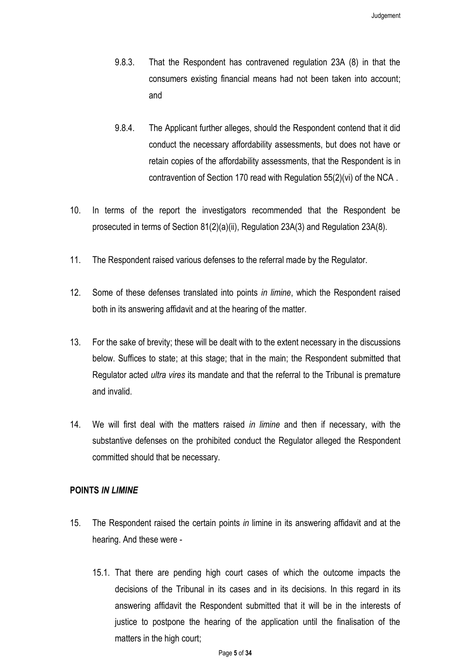- 9.8.3. That the Respondent has contravened regulation 23A (8) in that the consumers existing financial means had not been taken into account; and
- 9.8.4. The Applicant further alleges, should the Respondent contend that it did conduct the necessary affordability assessments, but does not have or retain copies of the affordability assessments, that the Respondent is in contravention of Section 170 read with Regulation 55(2)(vi) of the NCA .
- 10. In terms of the report the investigators recommended that the Respondent be prosecuted in terms of Section 81(2)(a)(ii), Regulation 23A(3) and Regulation 23A(8).
- 11. The Respondent raised various defenses to the referral made by the Regulator.
- 12. Some of these defenses translated into points *in limine*, which the Respondent raised both in its answering affidavit and at the hearing of the matter.
- 13. For the sake of brevity; these will be dealt with to the extent necessary in the discussions below. Suffices to state; at this stage; that in the main; the Respondent submitted that Regulator acted *ultra vires* its mandate and that the referral to the Tribunal is premature and invalid.
- 14. We will first deal with the matters raised *in limine* and then if necessary, with the substantive defenses on the prohibited conduct the Regulator alleged the Respondent committed should that be necessary.

#### **POINTS** *IN LIMINE*

- 15. The Respondent raised the certain points *in* limine in its answering affidavit and at the hearing. And these were -
	- 15.1. That there are pending high court cases of which the outcome impacts the decisions of the Tribunal in its cases and in its decisions. In this regard in its answering affidavit the Respondent submitted that it will be in the interests of justice to postpone the hearing of the application until the finalisation of the matters in the high court;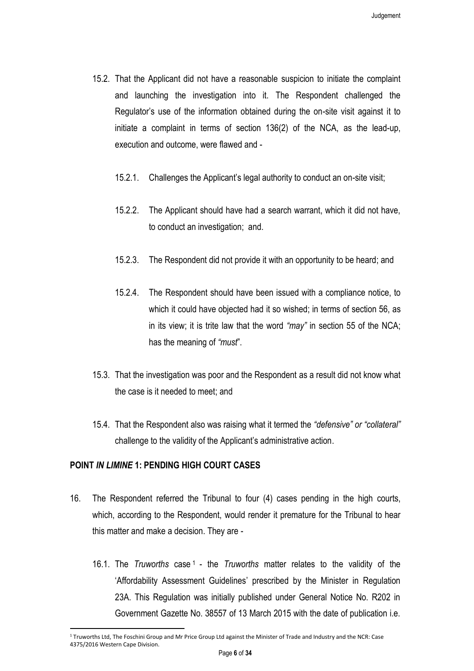- 15.2. That the Applicant did not have a reasonable suspicion to initiate the complaint and launching the investigation into it. The Respondent challenged the Regulator's use of the information obtained during the on-site visit against it to initiate a complaint in terms of section 136(2) of the NCA, as the lead-up, execution and outcome, were flawed and -
	- 15.2.1. Challenges the Applicant's legal authority to conduct an on-site visit;
	- 15.2.2. The Applicant should have had a search warrant, which it did not have, to conduct an investigation; and.
	- 15.2.3. The Respondent did not provide it with an opportunity to be heard; and
	- 15.2.4. The Respondent should have been issued with a compliance notice, to which it could have objected had it so wished; in terms of section 56, as in its view; it is trite law that the word *"may"* in section 55 of the NCA; has the meaning of *"must*".
- 15.3. That the investigation was poor and the Respondent as a result did not know what the case is it needed to meet; and
- 15.4. That the Respondent also was raising what it termed the *"defensive" or "collateral"*  challenge to the validity of the Applicant's administrative action.

#### **POINT** *IN LIMINE* **1: PENDING HIGH COURT CASES**

- <span id="page-5-0"></span>16. The Respondent referred the Tribunal to four (4) cases pending in the high courts, which, according to the Respondent, would render it premature for the Tribunal to hear this matter and make a decision. They are -
	- 16.1. The *Truworths* case <sup>1</sup> the *Truworths* matter relates to the validity of the 'Affordability Assessment Guidelines' prescribed by the Minister in Regulation 23A. This Regulation was initially published under General Notice No. R202 in Government Gazette No. 38557 of 13 March 2015 with the date of publication i.e.

<sup>1</sup> Truworths Ltd, The Foschini Group and Mr Price Group Ltd against the Minister of Trade and Industry and the NCR: Case 4375/2016 Western Cape Division.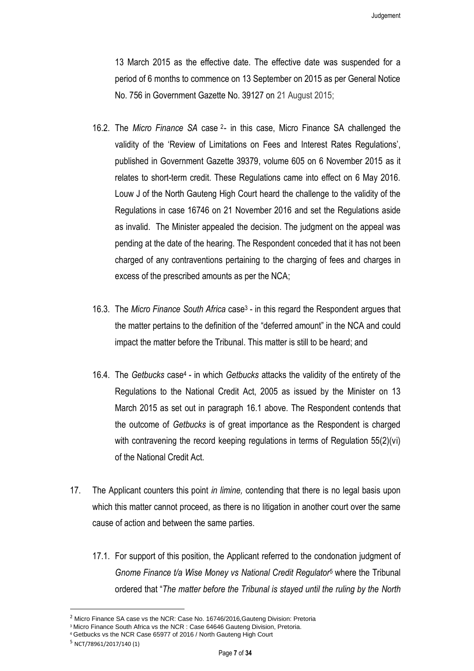13 March 2015 as the effective date. The effective date was suspended for a period of 6 months to commence on 13 September on 2015 as per General Notice No. 756 in Government Gazette No. 39127 on 21 August 2015;

- 16.2. The *Micro Finance SA* case <sup>2</sup> in this case, Micro Finance SA challenged the validity of the 'Review of Limitations on Fees and Interest Rates Regulations', published in Government Gazette 39379, volume 605 on 6 November 2015 as it relates to short-term credit. These Regulations came into effect on 6 May 2016. Louw J of the North Gauteng High Court heard the challenge to the validity of the Regulations in case 16746 on 21 November 2016 and set the Regulations aside as invalid. The Minister appealed the decision. The judgment on the appeal was pending at the date of the hearing. The Respondent conceded that it has not been charged of any contraventions pertaining to the charging of fees and charges in excess of the prescribed amounts as per the NCA;
- 16.3. The *Micro Finance South Africa* case<sup>3</sup> in this regard the Respondent argues that the matter pertains to the definition of the "deferred amount" in the NCA and could impact the matter before the Tribunal. This matter is still to be heard; and
- 16.4. The *Getbucks* case<sup>4</sup> in which *Getbucks* attacks the validity of the entirety of the Regulations to the National Credit Act, 2005 as issued by the Minister on 13 March 2015 as set out in paragraph [16.1](#page-5-0) above. The Respondent contends that the outcome of *Getbucks* is of great importance as the Respondent is charged with contravening the record keeping regulations in terms of Regulation 55(2)(vi) of the National Credit Act.
- 17. The Applicant counters this point *in limine,* contending that there is no legal basis upon which this matter cannot proceed, as there is no litigation in another court over the same cause of action and between the same parties.
	- 17.1. For support of this position, the Applicant referred to the condonation judgment of *Gnome Finance t/a Wise Money vs National Credit Regulator*<sup>5</sup> where the Tribunal ordered that "*The matter before the Tribunal is stayed until the ruling by the North*

<sup>&</sup>lt;sup>2</sup> Micro Finance SA case vs the NCR: Case No. 16746/2016, Gauteng Division: Pretoria

<sup>&</sup>lt;sup>3</sup> Micro Finance South Africa vs the NCR : Case 64646 Gauteng Division, Pretoria.

<sup>4</sup> Getbucks vs the NCR Case 65977 of 2016 / North Gauteng High Court

<sup>5</sup> NCT/78961/2017/140 (1)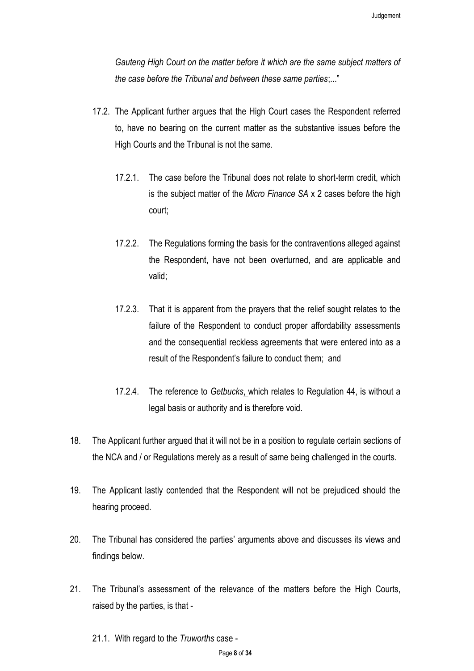*Gauteng High Court on the matter before it which are the same subject matters of the case before the Tribunal and between these same parties*;..."

- 17.2. The Applicant further argues that the High Court cases the Respondent referred to, have no bearing on the current matter as the substantive issues before the High Courts and the Tribunal is not the same.
	- 17.2.1. The case before the Tribunal does not relate to short-term credit, which is the subject matter of the *Micro Finance SA* x 2 cases before the high court;
	- 17.2.2. The Regulations forming the basis for the contraventions alleged against the Respondent, have not been overturned, and are applicable and valid;
	- 17.2.3. That it is apparent from the prayers that the relief sought relates to the failure of the Respondent to conduct proper affordability assessments and the consequential reckless agreements that were entered into as a result of the Respondent's failure to conduct them; and
	- 17.2.4. The reference to *Getbucks*, which relates to Regulation 44, is without a legal basis or authority and is therefore void.
- 18. The Applicant further argued that it will not be in a position to regulate certain sections of the NCA and / or Regulations merely as a result of same being challenged in the courts.
- 19. The Applicant lastly contended that the Respondent will not be prejudiced should the hearing proceed.
- 20. The Tribunal has considered the parties' arguments above and discusses its views and findings below.
- 21. The Tribunal's assessment of the relevance of the matters before the High Courts, raised by the parties, is that -
	- 21.1. With regard to the *Truworths* case -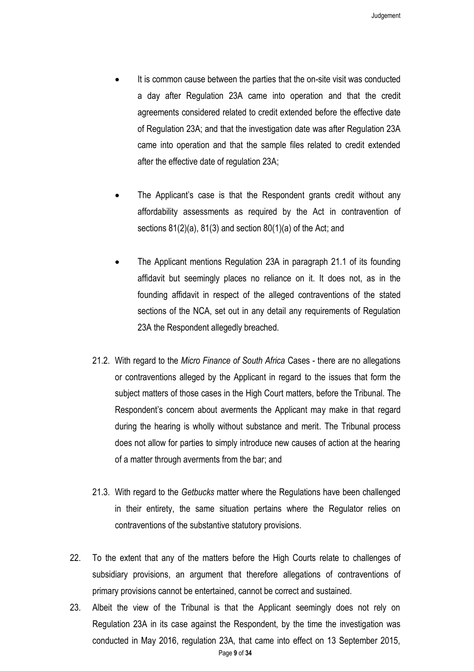- It is common cause between the parties that the on-site visit was conducted a day after Regulation 23A came into operation and that the credit agreements considered related to credit extended before the effective date of Regulation 23A; and that the investigation date was after Regulation 23A came into operation and that the sample files related to credit extended after the effective date of regulation 23A;
- The Applicant's case is that the Respondent grants credit without any affordability assessments as required by the Act in contravention of sections 81(2)(a), 81(3) and section 80(1)(a) of the Act; and
- The Applicant mentions Regulation 23A in paragraph 21.1 of its founding affidavit but seemingly places no reliance on it. It does not, as in the founding affidavit in respect of the alleged contraventions of the stated sections of the NCA, set out in any detail any requirements of Regulation 23A the Respondent allegedly breached.
- 21.2. With regard to the *Micro Finance of South Africa* Cases there are no allegations or contraventions alleged by the Applicant in regard to the issues that form the subject matters of those cases in the High Court matters, before the Tribunal. The Respondent's concern about averments the Applicant may make in that regard during the hearing is wholly without substance and merit. The Tribunal process does not allow for parties to simply introduce new causes of action at the hearing of a matter through averments from the bar; and
- 21.3. With regard to the *Getbucks* matter where the Regulations have been challenged in their entirety, the same situation pertains where the Regulator relies on contraventions of the substantive statutory provisions.
- 22. To the extent that any of the matters before the High Courts relate to challenges of subsidiary provisions, an argument that therefore allegations of contraventions of primary provisions cannot be entertained, cannot be correct and sustained.
- Page **9** of **34** 23. Albeit the view of the Tribunal is that the Applicant seemingly does not rely on Regulation 23A in its case against the Respondent, by the time the investigation was conducted in May 2016, regulation 23A, that came into effect on 13 September 2015,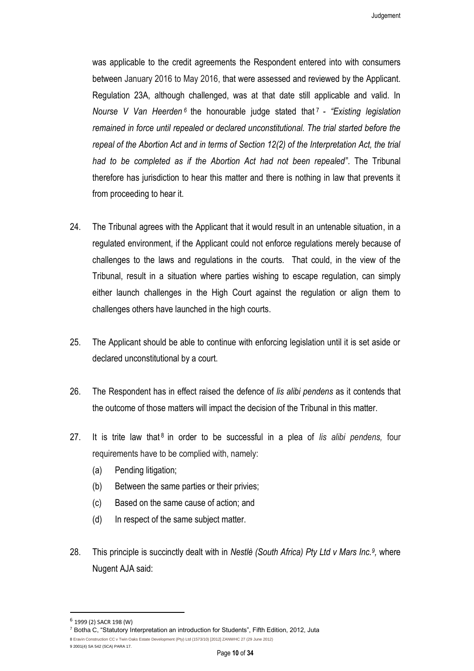Judgement

was applicable to the credit agreements the Respondent entered into with consumers between January 2016 to May 2016, that were assessed and reviewed by the Applicant. Regulation 23A, although challenged, was at that date still applicable and valid. In Nourse V Van Heerden<sup>6</sup> the honourable judge stated that 7 - "Existing legislation *remained in force until repealed or declared unconstitutional. The trial started before the repeal of the Abortion Act and in terms of Section 12(2) of the Interpretation Act, the trial had to be completed as if the Abortion Act had not been repealed"*. The Tribunal therefore has jurisdiction to hear this matter and there is nothing in law that prevents it from proceeding to hear it.

- 24. The Tribunal agrees with the Applicant that it would result in an untenable situation, in a regulated environment, if the Applicant could not enforce regulations merely because of challenges to the laws and regulations in the courts. That could, in the view of the Tribunal, result in a situation where parties wishing to escape regulation, can simply either launch challenges in the High Court against the regulation or align them to challenges others have launched in the high courts.
- 25. The Applicant should be able to continue with enforcing legislation until it is set aside or declared unconstitutional by a court.
- 26. The Respondent has in effect raised the defence of *lis alibi pendens* as it contends that the outcome of those matters will impact the decision of the Tribunal in this matter.
- 27. It is trite law that<sup>8</sup> in order to be successful in a plea of *lis alibi pendens*, four requirements have to be complied with, namely:
	- (a) Pending litigation;
	- (b) Between the same parties or their privies;
	- (c) Based on the same cause of action; and
	- (d) In respect of the same subject matter.
- 28. This principle is succinctly dealt with in *Nestlè (South Africa) Pty Ltd v Mars Inc.<sup>9</sup> ,* where Nugent AJA said:

<sup>&</sup>lt;sup>6</sup> 1999 (2) SACR 198 (W)

<sup>7</sup> Botha C, "Statutory Interpretation an introduction for Students", Fifth Edition, 2012, Juta

<sup>8</sup> Eravin Construction CC v Twin Oaks Estate Development (Pty) Ltd (1573/10) [2012] ZANWHC 27 (29 June 2012) 9 2001(4) SA 542 (SCA) PARA 17.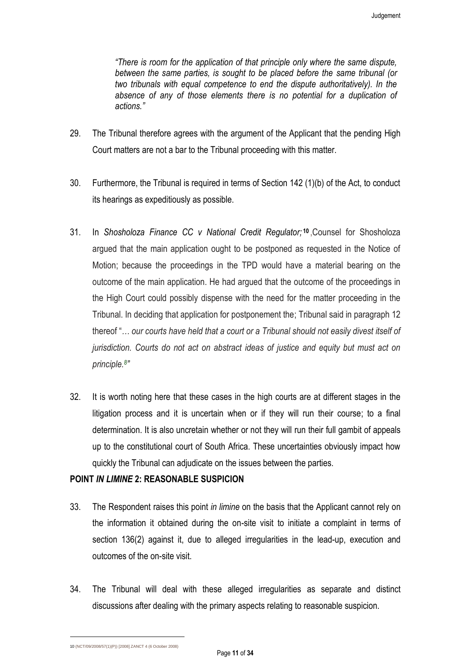*"There is room for the application of that principle only where the same dispute, between the same parties, is sought to be placed before the same tribunal (or two tribunals with equal competence to end the dispute authoritatively). In the*  absence of any of those elements there is no potential for a duplication of *actions."*

- 29. The Tribunal therefore agrees with the argument of the Applicant that the pending High Court matters are not a bar to the Tribunal proceeding with this matter.
- 30. Furthermore, the Tribunal is required in terms of Section 142 (1)(b) of the Act, to conduct its hearings as expeditiously as possible.
- 31. In *Shosholoza Finance CC v National Credit Regulator;* **10** ,Counsel for Shosholoza argued that the main application ought to be postponed as requested in the Notice of Motion; because the proceedings in the TPD would have a material bearing on the outcome of the main application. He had argued that the outcome of the proceedings in the High Court could possibly dispense with the need for the matter proceeding in the Tribunal. In deciding that application for postponement the; Tribunal said in paragraph 12 thereof "*… our courts have held that a court or a Tribunal should not easily divest itself of jurisdiction. Courts do not act on abstract ideas of justice and equity but must act on principle.<sup>8</sup> ["](http://www.saflii.org/za/cases/ZANCT/2008/4.html#sdfootnote8sym)*
- 32. It is worth noting here that these cases in the high courts are at different stages in the litigation process and it is uncertain when or if they will run their course; to a final determination. It is also uncretain whether or not they will run their full gambit of appeals up to the constitutional court of South Africa. These uncertainties obviously impact how quickly the Tribunal can adjudicate on the issues between the parties.

#### **POINT** *IN LIMINE* **2: REASONABLE SUSPICION**

- 33. The Respondent raises this point *in limine* on the basis that the Applicant cannot rely on the information it obtained during the on-site visit to initiate a complaint in terms of section 136(2) against it, due to alleged irregularities in the lead-up, execution and outcomes of the on-site visit.
- 34. The Tribunal will deal with these alleged irregularities as separate and distinct discussions after dealing with the primary aspects relating to reasonable suspicion.

10 (NCT/09/2008/57(1)(P)) [2008] ZANCT 4 (6 October 2008)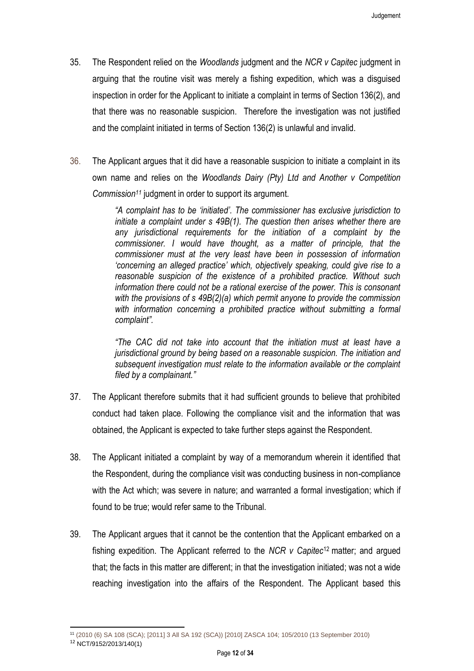- 35. The Respondent relied on the *Woodlands* judgment and the *NCR v Capitec* judgment in arguing that the routine visit was merely a fishing expedition, which was a disguised inspection in order for the Applicant to initiate a complaint in terms of Section 136(2), and that there was no reasonable suspicion. Therefore the investigation was not justified and the complaint initiated in terms of Section 136(2) is unlawful and invalid.
- 36. The Applicant argues that it did have a reasonable suspicion to initiate a complaint in its own name and relies on the *Woodlands Dairy (Pty) Ltd and Another v Competition Commission<sup>11</sup>* judgment in order to support its argument.

*"A complaint has to be 'initiated'. The commissioner has exclusive jurisdiction to initiate a complaint under s 49B(1). The question then arises whether there are any jurisdictional requirements for the initiation of a complaint by the commissioner. I would have thought, as a matter of principle, that the commissioner must at the very least have been in possession of information 'concerning an alleged practice' which, objectively speaking, could give rise to a reasonable suspicion of the existence of a prohibited practice. Without such information there could not be a rational exercise of the power. This is consonant with the provisions of s 49B(2)(a) which permit anyone to provide the commission*  with information concerning a prohibited practice without submitting a formal *complaint".*

*"The CAC did not take into account that the initiation must at least have a jurisdictional ground by being based on a reasonable suspicion. The initiation and subsequent investigation must relate to the information available or the complaint filed by a complainant."*

- 37. The Applicant therefore submits that it had sufficient grounds to believe that prohibited conduct had taken place. Following the compliance visit and the information that was obtained, the Applicant is expected to take further steps against the Respondent.
- 38. The Applicant initiated a complaint by way of a memorandum wherein it identified that the Respondent, during the compliance visit was conducting business in non-compliance with the Act which; was severe in nature; and warranted a formal investigation; which if found to be true; would refer same to the Tribunal.
- 39. The Applicant argues that it cannot be the contention that the Applicant embarked on a fishing expedition. The Applicant referred to the *NCR v Capitec*<sup>12</sup> matter; and argued that; the facts in this matter are different; in that the investigation initiated; was not a wide reaching investigation into the affairs of the Respondent. The Applicant based this

 $\overline{\phantom{a}}$ <sup>11</sup> (2010 (6) SA 108 (SCA); [2011] 3 All SA 192 (SCA)) [2010] ZASCA 104; 105/2010 (13 September 2010)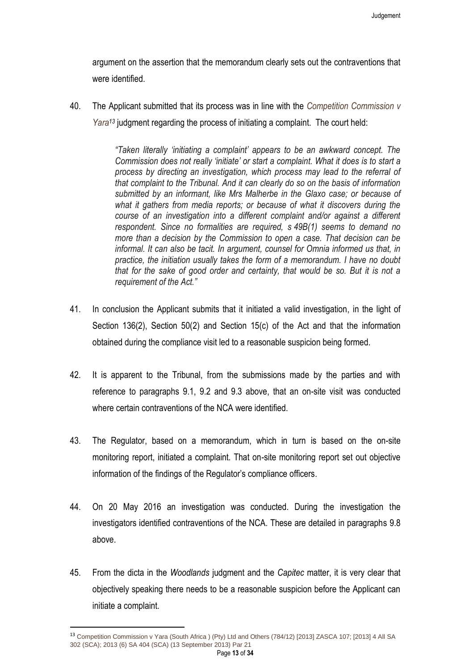argument on the assertion that the memorandum clearly sets out the contraventions that were identified.

40. The Applicant submitted that its process was in line with the *Competition Commission v Yara<sup>13</sup>* judgment regarding the process of initiating a complaint. The court held:

> *"Taken literally 'initiating a complaint' appears to be an awkward concept. The Commission does not really 'initiate' or start a complaint. What it does is to start a process by directing an investigation, which process may lead to the referral of that complaint to the Tribunal. And it can clearly do so on the basis of information submitted by an informant, like Mrs Malherbe in the Glaxo case; or because of what it gathers from media reports; or because of what it discovers during the course of an investigation into a different complaint and/or against a different respondent. Since no formalities are required, s 49B(1) seems to demand no more than a decision by the Commission to open a case. That decision can be informal. It can also be tacit. In argument, counsel for Omnia informed us that, in practice, the initiation usually takes the form of a memorandum. I have no doubt that for the sake of good order and certainty, that would be so. But it is not a requirement of the Act."*

- 41. In conclusion the Applicant submits that it initiated a valid investigation, in the light of Section 136(2), Section 50(2) and Section 15(c) of the Act and that the information obtained during the compliance visit led to a reasonable suspicion being formed.
- 42. It is apparent to the Tribunal, from the submissions made by the parties and with reference to paragraphs [9.1,](#page-2-0) [9.2](#page-2-1) and [9.3](#page-2-2) above, that an on-site visit was conducted where certain contraventions of the NCA were identified
- 43. The Regulator, based on a memorandum, which in turn is based on the on-site monitoring report, initiated a complaint. That on-site monitoring report set out objective information of the findings of the Regulator's compliance officers.
- 44. On 20 May 2016 an investigation was conducted. During the investigation the investigators identified contraventions of the NCA. These are detailed in paragraphs [9.8](#page-3-0) above.
- 45. From the dicta in the *Woodlands* judgment and the *Capitec* matter, it is very clear that objectively speaking there needs to be a reasonable suspicion before the Applicant can initiate a complaint.

 $\overline{\phantom{a}}$ 

Page **13** of **34**

<sup>13</sup> Competition Commission v Yara (South Africa ) (Pty) Ltd and Others (784/12) [2013] ZASCA 107; [2013] 4 All SA 302 (SCA); 2013 (6) SA 404 (SCA) (13 September 2013) Par 21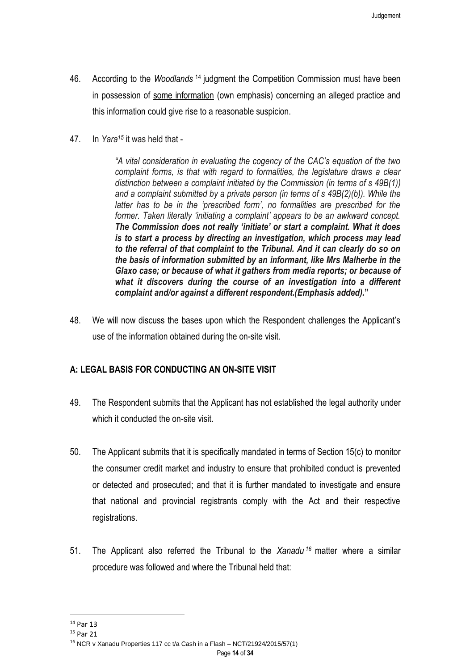- 46. According to the *Woodlands* <sup>14</sup> judgment the Competition Commission must have been in possession of some information (own emphasis) concerning an alleged practice and this information could give rise to a reasonable suspicion.
- 47. In *Yara<sup>15</sup>* it was held that -

*"A vital consideration in evaluating the cogency of the CAC's equation of the two complaint forms, is that with regard to formalities, the legislature draws a clear distinction between a complaint initiated by the Commission (in terms of s 49B(1)) and a complaint submitted by a private person (in terms of s 49B(2)(b)). While the latter has to be in the 'prescribed form', no formalities are prescribed for the former. Taken literally 'initiating a complaint' appears to be an awkward concept. The Commission does not really 'initiate' or start a complaint. What it does is to start a process by directing an investigation, which process may lead to the referral of that complaint to the Tribunal. And it can clearly do so on the basis of information submitted by an informant, like Mrs Malherbe in the Glaxo case; or because of what it gathers from media reports; or because of what it discovers during the course of an investigation into a different complaint and/or against a different respondent.(Emphasis added).***"**

48. We will now discuss the bases upon which the Respondent challenges the Applicant's use of the information obtained during the on-site visit.

## **A: LEGAL BASIS FOR CONDUCTING AN ON-SITE VISIT**

- 49. The Respondent submits that the Applicant has not established the legal authority under which it conducted the on-site visit.
- 50. The Applicant submits that it is specifically mandated in terms of Section 15(c) to monitor the consumer credit market and industry to ensure that prohibited conduct is prevented or detected and prosecuted; and that it is further mandated to investigate and ensure that national and provincial registrants comply with the Act and their respective registrations.
- 51. The Applicant also referred the Tribunal to the *Xanadu <sup>16</sup>* matter where a similar procedure was followed and where the Tribunal held that:

 $\overline{a}$ 

Page **14** of **34**

<sup>14</sup> Par 13

<sup>15</sup> Par 21

<sup>16</sup> NCR v Xanadu Properties 117 cc t/a Cash in a Flash – NCT/21924/2015/57(1)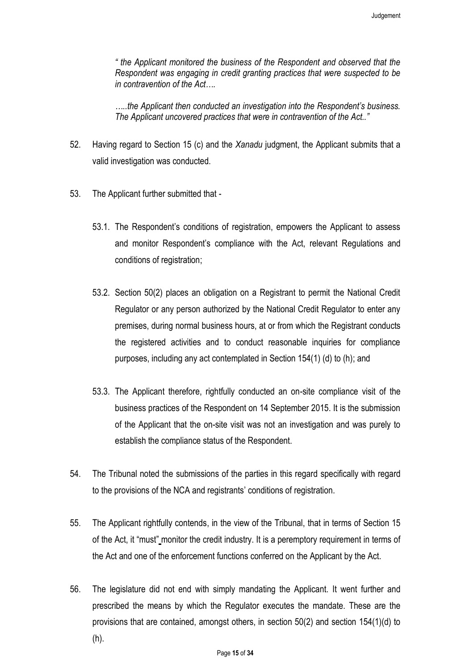*" the Applicant monitored the business of the Respondent and observed that the Respondent was engaging in credit granting practices that were suspected to be in contravention of the Act….*

*…..the Applicant then conducted an investigation into the Respondent's business. The Applicant uncovered practices that were in contravention of the Act.."*

- 52. Having regard to Section 15 (c) and the *Xanadu* judgment, the Applicant submits that a valid investigation was conducted.
- 53. The Applicant further submitted that
	- 53.1. The Respondent's conditions of registration, empowers the Applicant to assess and monitor Respondent's compliance with the Act, relevant Regulations and conditions of registration;
	- 53.2. Section 50(2) places an obligation on a Registrant to permit the National Credit Regulator or any person authorized by the National Credit Regulator to enter any premises, during normal business hours, at or from which the Registrant conducts the registered activities and to conduct reasonable inquiries for compliance purposes, including any act contemplated in Section 154(1) (d) to (h); and
	- 53.3. The Applicant therefore, rightfully conducted an on-site compliance visit of the business practices of the Respondent on 14 September 2015. It is the submission of the Applicant that the on-site visit was not an investigation and was purely to establish the compliance status of the Respondent.
- 54. The Tribunal noted the submissions of the parties in this regard specifically with regard to the provisions of the NCA and registrants' conditions of registration.
- 55. The Applicant rightfully contends, in the view of the Tribunal, that in terms of Section 15 of the Act, it "must" monitor the credit industry. It is a peremptory requirement in terms of the Act and one of the enforcement functions conferred on the Applicant by the Act.
- 56. The legislature did not end with simply mandating the Applicant. It went further and prescribed the means by which the Regulator executes the mandate. These are the provisions that are contained, amongst others, in section 50(2) and section 154(1)(d) to (h).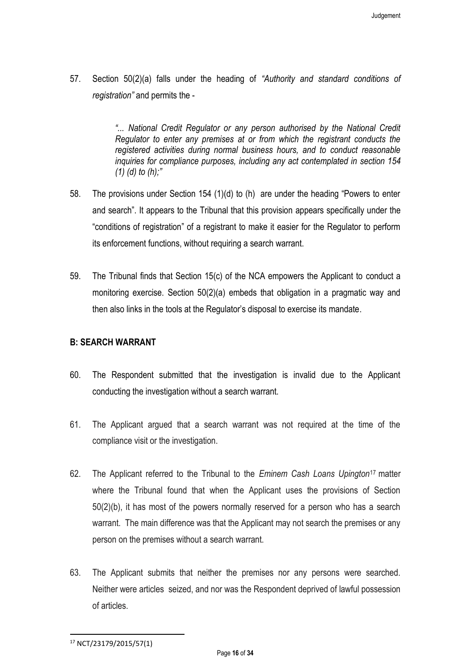57. Section 50(2)(a) falls under the heading of *"Authority and standard conditions of registration"* and permits the -

> *"... National Credit Regulator or any person authorised by the National Credit Regulator to enter any premises at or from which the registrant conducts the registered activities during normal business hours, and to conduct reasonable inquiries for compliance purposes, including any act contemplated in section 154 (1) (d) to (h);"*

- 58. The provisions under Section 154 (1)(d) to (h) are under the heading "Powers to enter and search". It appears to the Tribunal that this provision appears specifically under the "conditions of registration" of a registrant to make it easier for the Regulator to perform its enforcement functions, without requiring a search warrant.
- 59. The Tribunal finds that Section 15(c) of the NCA empowers the Applicant to conduct a monitoring exercise. Section 50(2)(a) embeds that obligation in a pragmatic way and then also links in the tools at the Regulator's disposal to exercise its mandate.

### **B: SEARCH WARRANT**

- 60. The Respondent submitted that the investigation is invalid due to the Applicant conducting the investigation without a search warrant.
- 61. The Applicant argued that a search warrant was not required at the time of the compliance visit or the investigation.
- 62. The Applicant referred to the Tribunal to the *Eminem Cash Loans Upington*<sup>17</sup> matter where the Tribunal found that when the Applicant uses the provisions of Section 50(2)(b), it has most of the powers normally reserved for a person who has a search warrant. The main difference was that the Applicant may not search the premises or any person on the premises without a search warrant.
- 63. The Applicant submits that neither the premises nor any persons were searched. Neither were articles seized, and nor was the Respondent deprived of lawful possession of articles.

 $\overline{a}$ 

<sup>17</sup> NCT/23179/2015/57(1)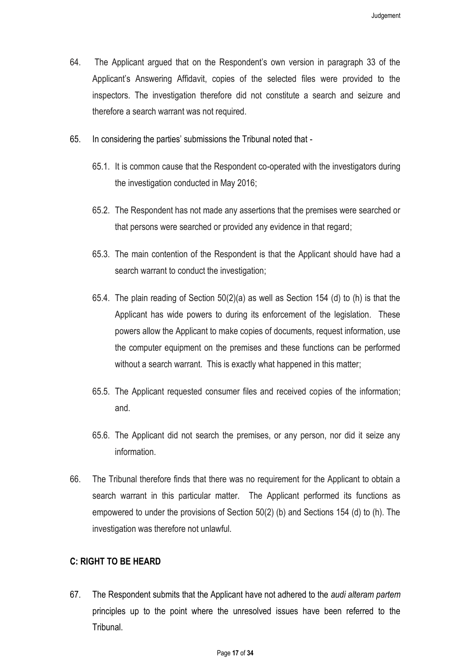- 64. The Applicant argued that on the Respondent's own version in paragraph 33 of the Applicant's Answering Affidavit, copies of the selected files were provided to the inspectors. The investigation therefore did not constitute a search and seizure and therefore a search warrant was not required.
- 65. In considering the parties' submissions the Tribunal noted that
	- 65.1. It is common cause that the Respondent co-operated with the investigators during the investigation conducted in May 2016;
	- 65.2. The Respondent has not made any assertions that the premises were searched or that persons were searched or provided any evidence in that regard;
	- 65.3. The main contention of the Respondent is that the Applicant should have had a search warrant to conduct the investigation;
	- 65.4. The plain reading of Section 50(2)(a) as well as Section 154 (d) to (h) is that the Applicant has wide powers to during its enforcement of the legislation. These powers allow the Applicant to make copies of documents, request information, use the computer equipment on the premises and these functions can be performed without a search warrant. This is exactly what happened in this matter;
	- 65.5. The Applicant requested consumer files and received copies of the information; and.
	- 65.6. The Applicant did not search the premises, or any person, nor did it seize any information.
- 66. The Tribunal therefore finds that there was no requirement for the Applicant to obtain a search warrant in this particular matter. The Applicant performed its functions as empowered to under the provisions of Section 50(2) (b) and Sections 154 (d) to (h). The investigation was therefore not unlawful.

#### **C: RIGHT TO BE HEARD**

67. The Respondent submits that the Applicant have not adhered to the *audi alteram partem* principles up to the point where the unresolved issues have been referred to the Tribunal.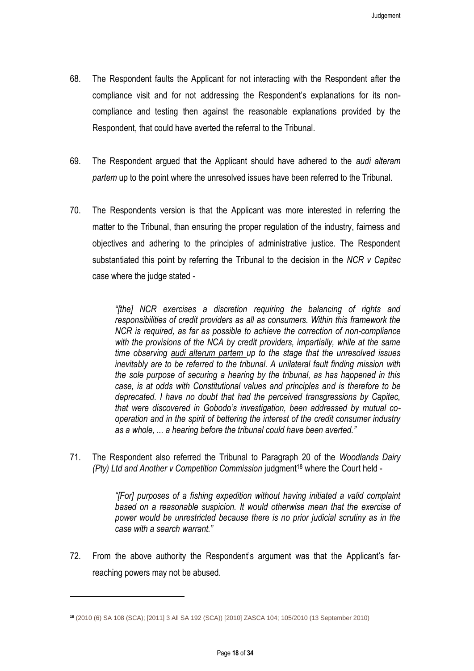- 68. The Respondent faults the Applicant for not interacting with the Respondent after the compliance visit and for not addressing the Respondent's explanations for its noncompliance and testing then against the reasonable explanations provided by the Respondent, that could have averted the referral to the Tribunal.
- 69. The Respondent argued that the Applicant should have adhered to the *audi alteram partem* up to the point where the unresolved issues have been referred to the Tribunal.
- 70. The Respondents version is that the Applicant was more interested in referring the matter to the Tribunal, than ensuring the proper regulation of the industry, fairness and objectives and adhering to the principles of administrative justice. The Respondent substantiated this point by referring the Tribunal to the decision in the *NCR v Capitec* case where the judge stated -

*"[the] NCR exercises a discretion requiring the balancing of rights and responsibilities of credit providers as all as consumers. Within this framework the NCR is required, as far as possible to achieve the correction of non-compliance*  with the provisions of the NCA by credit providers, impartially, while at the same *time observing audi alterum partem up to the stage that the unresolved issues inevitably are to be referred to the tribunal. A unilateral fault finding mission with the sole purpose of securing a hearing by the tribunal, as has happened in this case, is at odds with Constitutional values and principles and is therefore to be deprecated. I have no doubt that had the perceived transgressions by Capitec, that were discovered in Gobodo's investigation, been addressed by mutual cooperation and in the spirit of bettering the interest of the credit consumer industry as a whole, ... a hearing before the tribunal could have been averted."*

71. The Respondent also referred the Tribunal to Paragraph 20 of the *Woodlands Dairy (Pty) Ltd and Another v Competition Commission* judgment<sup>18</sup> where the Court held -

> *"[For] purposes of a fishing expedition without having initiated a valid complaint based on a reasonable suspicion. It would otherwise mean that the exercise of power would be unrestricted because there is no prior judicial scrutiny as in the case with a search warrant."*

72. From the above authority the Respondent's argument was that the Applicant's farreaching powers may not be abused.

l

**<sup>18</sup>** (2010 (6) SA 108 (SCA); [2011] 3 All SA 192 (SCA)) [2010] ZASCA 104; 105/2010 (13 September 2010)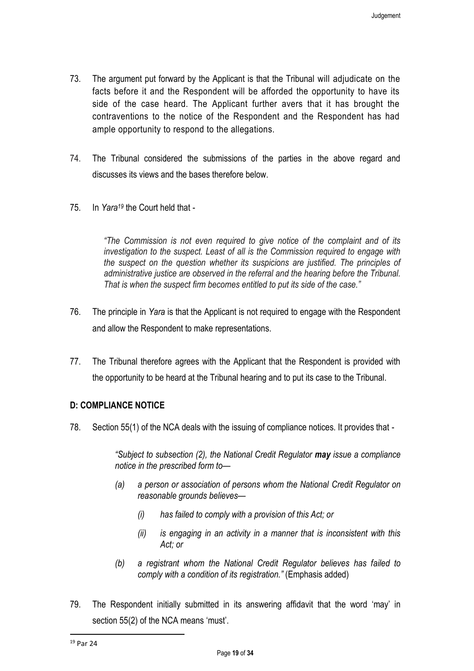- 73. The argument put forward by the Applicant is that the Tribunal will adjudicate on the facts before it and the Respondent will be afforded the opportunity to have its side of the case heard. The Applicant further avers that it has brought the contraventions to the notice of the Respondent and the Respondent has had ample opportunity to respond to the allegations.
- 74. The Tribunal considered the submissions of the parties in the above regard and discusses its views and the bases therefore below.
- 75. In *Yara<sup>19</sup>* the Court held that -

*"The Commission is not even required to give notice of the complaint and of its investigation to the suspect. Least of all is the Commission required to engage with the suspect on the question whether its suspicions are justified. The principles of administrative justice are observed in the referral and the hearing before the Tribunal. That is when the suspect firm becomes entitled to put its side of the case."*

- 76. The principle in *Yara* is that the Applicant is not required to engage with the Respondent and allow the Respondent to make representations.
- 77. The Tribunal therefore agrees with the Applicant that the Respondent is provided with the opportunity to be heard at the Tribunal hearing and to put its case to the Tribunal.

## **D: COMPLIANCE NOTICE**

78. Section 55(1) of the NCA deals with the issuing of compliance notices. It provides that -

*"Subject to subsection (2), the National Credit Regulator may issue a compliance notice in the prescribed form to—*

- *(a) a person or association of persons whom the National Credit Regulator on reasonable grounds believes—*
	- *(i) has failed to comply with a provision of this Act; or*
	- *(ii) is engaging in an activity in a manner that is inconsistent with this Act; or*
- *(b) a registrant whom the National Credit Regulator believes has failed to comply with a condition of its registration."* (Emphasis added)
- 79. The Respondent initially submitted in its answering affidavit that the word 'may' in section 55(2) of the NCA means 'must'.

 $\overline{a}$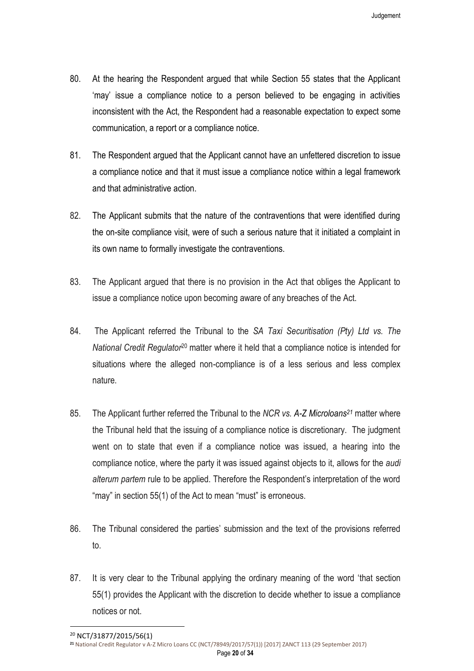- 80. At the hearing the Respondent argued that while Section 55 states that the Applicant 'may' issue a compliance notice to a person believed to be engaging in activities inconsistent with the Act, the Respondent had a reasonable expectation to expect some communication, a report or a compliance notice.
- 81. The Respondent argued that the Applicant cannot have an unfettered discretion to issue a compliance notice and that it must issue a compliance notice within a legal framework and that administrative action.
- 82. The Applicant submits that the nature of the contraventions that were identified during the on-site compliance visit, were of such a serious nature that it initiated a complaint in its own name to formally investigate the contraventions.
- 83. The Applicant argued that there is no provision in the Act that obliges the Applicant to issue a compliance notice upon becoming aware of any breaches of the Act.
- 84. The Applicant referred the Tribunal to the *SA Taxi Securitisation (Pty) Ltd vs. The National Credit Regulator*<sup>20</sup> matter where it held that a compliance notice is intended for situations where the alleged non-compliance is of a less serious and less complex nature.
- 85. The Applicant further referred the Tribunal to the *NCR vs. A-Z Microloans<sup>21</sup>* matter where the Tribunal held that the issuing of a compliance notice is discretionary. The judgment went on to state that even if a compliance notice was issued, a hearing into the compliance notice, where the party it was issued against objects to it, allows for the *audi alterum partem* rule to be applied. Therefore the Respondent's interpretation of the word "may" in section 55(1) of the Act to mean "must" is erroneous.
- 86. The Tribunal considered the parties' submission and the text of the provisions referred to.
- 87. It is very clear to the Tribunal applying the ordinary meaning of the word 'that section 55(1) provides the Applicant with the discretion to decide whether to issue a compliance notices or not.

 $\overline{a}$ 

<sup>20</sup> NCT/31877/2015/56(1)

**<sup>21</sup>** National Credit Regulator v A-Z Micro Loans CC (NCT/78949/2017/57(1)) [2017] ZANCT 113 (29 September 2017)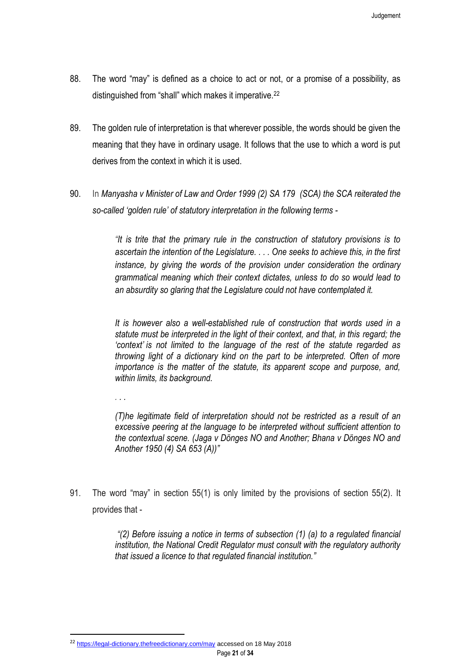- 88. The word "may" is defined as a choice to act or not, or a promise of a possibility, as distinguished from "shall" which makes it imperative.<sup>22</sup>
- 89. The golden rule of interpretation is that wherever possible, the words should be given the meaning that they have in ordinary usage. It follows that the use to which a word is put derives from the context in which it is used.
- 90. In *Manyasha v Minister of Law and Order 1999 (2) SA 179 (SCA) the SCA reiterated the so-called 'golden rule' of statutory interpretation in the following terms -*

*"It is trite that the primary rule in the construction of statutory provisions is to ascertain the intention of the Legislature. . . . One seeks to achieve this, in the first instance, by giving the words of the provision under consideration the ordinary grammatical meaning which their context dictates, unless to do so would lead to an absurdity so glaring that the Legislature could not have contemplated it.*

*It is however also a well-established rule of construction that words used in a statute must be interpreted in the light of their context, and that, in this regard; the 'context' is not limited to the language of the rest of the statute regarded as throwing light of a dictionary kind on the part to be interpreted. Often of more importance is the matter of the statute, its apparent scope and purpose, and, within limits, its background.*

*. . .*

 $\overline{a}$ 

*(T)he legitimate field of interpretation should not be restricted as a result of an excessive peering at the language to be interpreted without sufficient attention to the contextual scene. (Jaga v Dönges NO and Another; Bhana v Dönges NO and Another 1950 (4) SA 653 (A))"*

91. The word "may" in section 55(1) is only limited by the provisions of section 55(2). It provides that -

> *"(2) Before issuing a notice in terms of subsection (1) (a) to a regulated financial institution, the National Credit Regulator must consult with the regulatory authority that issued a licence to that regulated financial institution."*

<sup>&</sup>lt;sup>22</sup> <https://legal-dictionary.thefreedictionary.com/may> accessed on 18 May 2018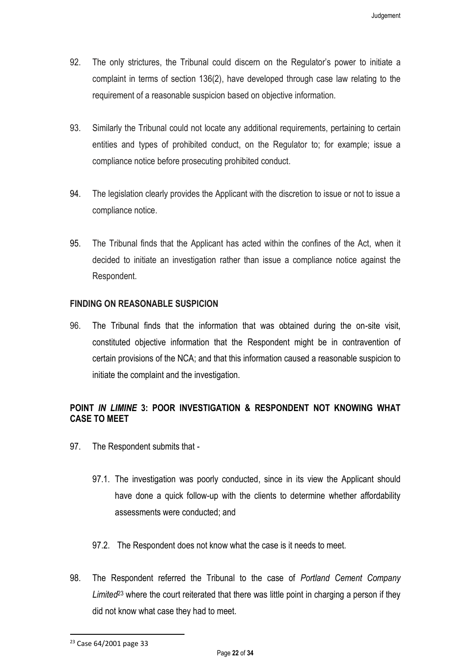- 92. The only strictures, the Tribunal could discern on the Regulator's power to initiate a complaint in terms of section 136(2), have developed through case law relating to the requirement of a reasonable suspicion based on objective information.
- 93. Similarly the Tribunal could not locate any additional requirements, pertaining to certain entities and types of prohibited conduct, on the Regulator to; for example; issue a compliance notice before prosecuting prohibited conduct.
- 94. The legislation clearly provides the Applicant with the discretion to issue or not to issue a compliance notice.
- 95. The Tribunal finds that the Applicant has acted within the confines of the Act, when it decided to initiate an investigation rather than issue a compliance notice against the Respondent.

## **FINDING ON REASONABLE SUSPICION**

96. The Tribunal finds that the information that was obtained during the on-site visit, constituted objective information that the Respondent might be in contravention of certain provisions of the NCA; and that this information caused a reasonable suspicion to initiate the complaint and the investigation.

## **POINT** *IN LIMINE* **3: POOR INVESTIGATION & RESPONDENT NOT KNOWING WHAT CASE TO MEET**

- 97. The Respondent submits that
	- 97.1. The investigation was poorly conducted, since in its view the Applicant should have done a quick follow-up with the clients to determine whether affordability assessments were conducted; and
	- 97.2. The Respondent does not know what the case is it needs to meet.
- 98. The Respondent referred the Tribunal to the case of *Portland Cement Company Limited*<sup>23</sup> where the court reiterated that there was little point in charging a person if they did not know what case they had to meet.

 $\overline{a}$ 

<sup>23</sup> Case 64/2001 page 33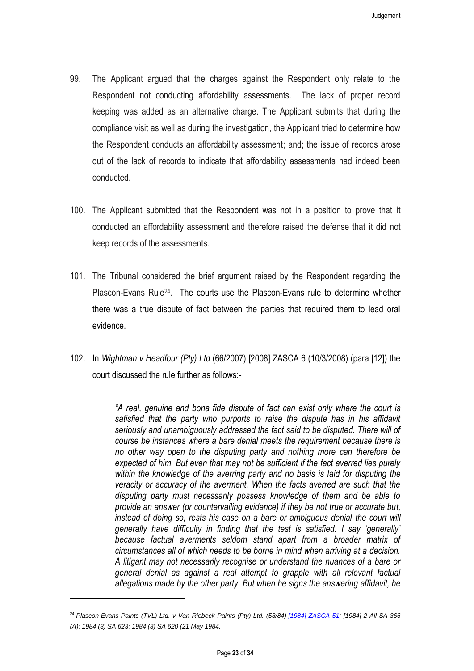- 99. The Applicant argued that the charges against the Respondent only relate to the Respondent not conducting affordability assessments. The lack of proper record keeping was added as an alternative charge. The Applicant submits that during the compliance visit as well as during the investigation, the Applicant tried to determine how the Respondent conducts an affordability assessment; and; the issue of records arose out of the lack of records to indicate that affordability assessments had indeed been conducted.
- 100. The Applicant submitted that the Respondent was not in a position to prove that it conducted an affordability assessment and therefore raised the defense that it did not keep records of the assessments.
- 101. The Tribunal considered the brief argument raised by the Respondent regarding the Plascon-Evans Rule<sup>24</sup>. The courts use the Plascon-Evans rule to determine whether there was a true dispute of fact between the parties that required them to lead oral evidence.
- 102. In *Wightman v Headfour (Pty) Ltd* (66/2007) [2008] ZASCA 6 (10/3/2008) (para [12]) the court discussed the rule further as follows:-

*"A real, genuine and bona fide dispute of fact can exist only where the court is satisfied that the party who purports to raise the dispute has in his affidavit seriously and unambiguously addressed the fact said to be disputed. There will of course be instances where a bare denial meets the requirement because there is no other way open to the disputing party and nothing more can therefore be expected of him. But even that may not be sufficient if the fact averred lies purely within the knowledge of the averring party and no basis is laid for disputing the veracity or accuracy of the averment. When the facts averred are such that the disputing party must necessarily possess knowledge of them and be able to provide an answer (or countervailing evidence) if they be not true or accurate but, instead of doing so, rests his case on a bare or ambiguous denial the court will generally have difficulty in finding that the test is satisfied. I say 'generally' because factual averments seldom stand apart from a broader matrix of circumstances all of which needs to be borne in mind when arriving at a decision. A litigant may not necessarily recognise or understand the nuances of a bare or general denial as against a real attempt to grapple with all relevant factual allegations made by the other party. But when he signs the answering affidavit, he* 

<sup>24</sup> *Plascon-Evans Paints (TVL) Ltd. v Van Riebeck Paints (Pty) Ltd. (53/84) [\[1984\] ZASCA 51;](http://www.saflii.org/za/cases/ZASCA/1984/51.rtf) [1984] 2 All SA 366 (A); 1984 (3) SA 623; 1984 (3) SA 620 (21 May 1984.*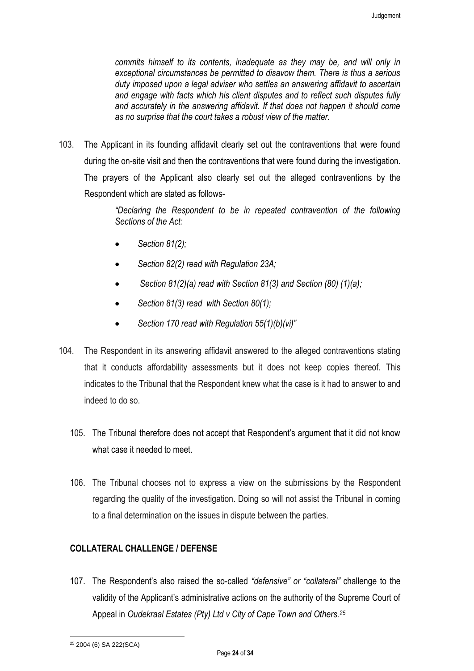*commits himself to its contents, inadequate as they may be, and will only in exceptional circumstances be permitted to disavow them. There is thus a serious duty imposed upon a legal adviser who settles an answering affidavit to ascertain and engage with facts which his client disputes and to reflect such disputes fully and accurately in the answering affidavit. If that does not happen it should come as no surprise that the court takes a robust view of the matter.*

103. The Applicant in its founding affidavit clearly set out the contraventions that were found during the on-site visit and then the contraventions that were found during the investigation. The prayers of the Applicant also clearly set out the alleged contraventions by the Respondent which are stated as follows-

> *"Declaring the Respondent to be in repeated contravention of the following Sections of the Act:*

- *Section 81(2);*
- *Section 82(2) read with Regulation 23A;*
- *Section 81(2)(a) read with Section 81(3) and Section (80) (1)(a);*
- *Section 81(3) read with Section 80(1);*
- *Section 170 read with Regulation 55(1)(b)(vi)"*
- 104. The Respondent in its answering affidavit answered to the alleged contraventions stating that it conducts affordability assessments but it does not keep copies thereof. This indicates to the Tribunal that the Respondent knew what the case is it had to answer to and indeed to do so.
	- 105. The Tribunal therefore does not accept that Respondent's argument that it did not know what case it needed to meet.
	- 106. The Tribunal chooses not to express a view on the submissions by the Respondent regarding the quality of the investigation. Doing so will not assist the Tribunal in coming to a final determination on the issues in dispute between the parties.

## **COLLATERAL CHALLENGE / DEFENSE**

107. The Respondent's also raised the so-called *"defensive" or "collateral"* challenge to the validity of the Applicant's administrative actions on the authority of the Supreme Court of Appeal in *Oudekraal Estates (Pty) Ltd v City of Cape Town and Others.<sup>25</sup>*

<sup>25</sup> 2004 (6) SA 222(SCA)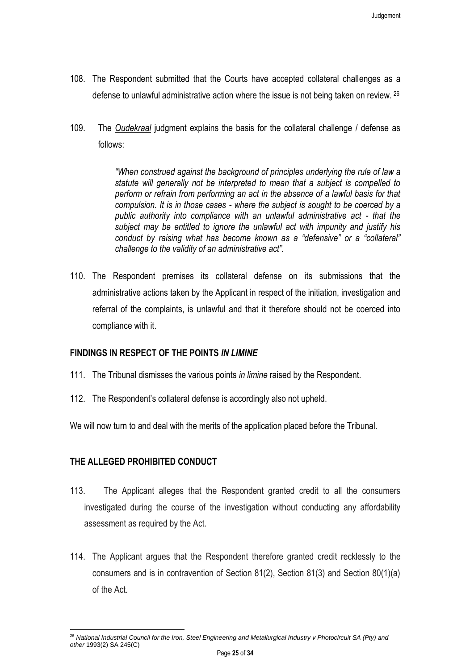- 108. The Respondent submitted that the Courts have accepted collateral challenges as a defense to unlawful administrative action where the issue is not being taken on review. <sup>26</sup>
- 109. The *Oudekraal* judgment explains the basis for the collateral challenge / defense as follows:

*"When construed against the background of principles underlying the rule of law a statute will generally not be interpreted to mean that a subject is compelled to perform or refrain from performing an act in the absence of a lawful basis for that compulsion. It is in those cases - where the subject is sought to be coerced by a public authority into compliance with an unlawful administrative act - that the subject may be entitled to ignore the unlawful act with impunity and justify his conduct by raising what has become known as a "defensive" or a "collateral" challenge to the validity of an administrative act".*

110. The Respondent premises its collateral defense on its submissions that the administrative actions taken by the Applicant in respect of the initiation, investigation and referral of the complaints, is unlawful and that it therefore should not be coerced into compliance with it.

## **FINDINGS IN RESPECT OF THE POINTS** *IN LIMINE*

- 111. The Tribunal dismisses the various points *in limine* raised by the Respondent.
- 112. The Respondent's collateral defense is accordingly also not upheld.

We will now turn to and deal with the merits of the application placed before the Tribunal.

### **THE ALLEGED PROHIBITED CONDUCT**

- 113. The Applicant alleges that the Respondent granted credit to all the consumers investigated during the course of the investigation without conducting any affordability assessment as required by the Act.
- 114. The Applicant argues that the Respondent therefore granted credit recklessly to the consumers and is in contravention of Section 81(2), Section 81(3) and Section 80(1)(a) of the Act.

<sup>26</sup> *National Industrial Council for the Iron, Steel Engineering and Metallurgical Industry v Photocircuit SA (Pty) and other* 1993(2) SA 245(C)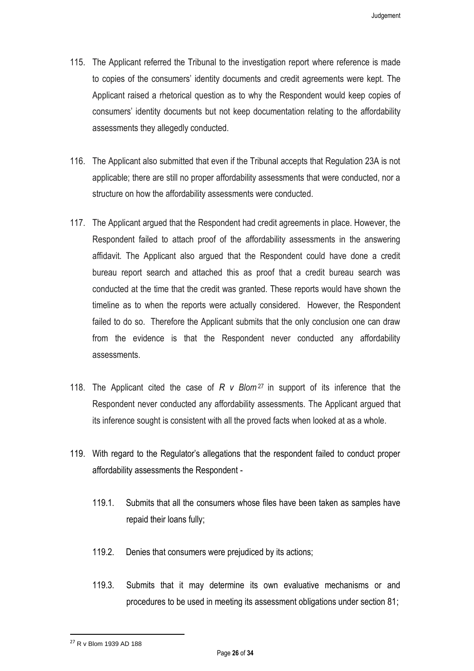- 115. The Applicant referred the Tribunal to the investigation report where reference is made to copies of the consumers' identity documents and credit agreements were kept. The Applicant raised a rhetorical question as to why the Respondent would keep copies of consumers' identity documents but not keep documentation relating to the affordability assessments they allegedly conducted.
- 116. The Applicant also submitted that even if the Tribunal accepts that Regulation 23A is not applicable; there are still no proper affordability assessments that were conducted, nor a structure on how the affordability assessments were conducted.
- 117. The Applicant argued that the Respondent had credit agreements in place. However, the Respondent failed to attach proof of the affordability assessments in the answering affidavit. The Applicant also argued that the Respondent could have done a credit bureau report search and attached this as proof that a credit bureau search was conducted at the time that the credit was granted. These reports would have shown the timeline as to when the reports were actually considered. However, the Respondent failed to do so. Therefore the Applicant submits that the only conclusion one can draw from the evidence is that the Respondent never conducted any affordability assessments.
- 118. The Applicant cited the case of *R v Blom*<sup>27</sup> in support of its inference that the Respondent never conducted any affordability assessments. The Applicant argued that its inference sought is consistent with all the proved facts when looked at as a whole.
- 119. With regard to the Regulator's allegations that the respondent failed to conduct proper affordability assessments the Respondent -
	- 119.1. Submits that all the consumers whose files have been taken as samples have repaid their loans fully;
	- 119.2. Denies that consumers were prejudiced by its actions;
	- 119.3. Submits that it may determine its own evaluative mechanisms or and procedures to be used in meeting its assessment obligations under section 81;

 $\overline{a}$ 

<sup>27</sup> R v Blom 1939 AD 188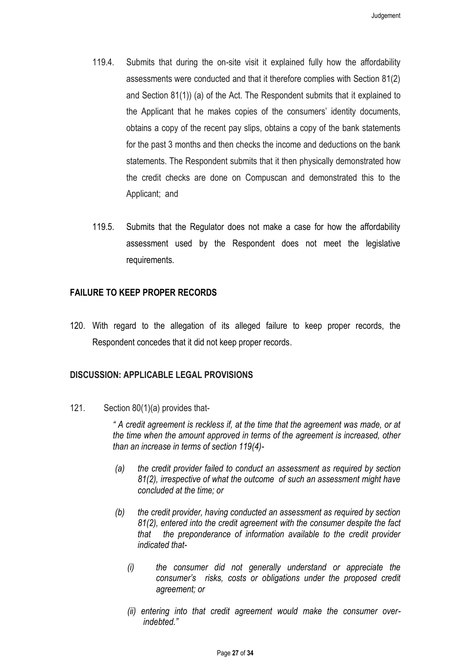- 119.4. Submits that during the on-site visit it explained fully how the affordability assessments were conducted and that it therefore complies with Section 81(2) and Section 81(1)) (a) of the Act. The Respondent submits that it explained to the Applicant that he makes copies of the consumers' identity documents, obtains a copy of the recent pay slips, obtains a copy of the bank statements for the past 3 months and then checks the income and deductions on the bank statements. The Respondent submits that it then physically demonstrated how the credit checks are done on Compuscan and demonstrated this to the Applicant; and
- 119.5. Submits that the Regulator does not make a case for how the affordability assessment used by the Respondent does not meet the legislative requirements.

## **FAILURE TO KEEP PROPER RECORDS**

120. With regard to the allegation of its alleged failure to keep proper records, the Respondent concedes that it did not keep proper records.

#### **DISCUSSION: APPLICABLE LEGAL PROVISIONS**

121. Section 80(1)(a) provides that-

*" A credit agreement is reckless if, at the time that the agreement was made, or at the time when the amount approved in terms of the agreement is increased, other than an increase in terms of section 119(4)-*

- *(a) the credit provider failed to conduct an assessment as required by section 81(2), irrespective of what the outcome of such an assessment might have concluded at the time; or*
- *(b) the credit provider, having conducted an assessment as required by section 81(2), entered into the credit agreement with the consumer despite the fact that the preponderance of information available to the credit provider indicated that-*
	- *(i) the consumer did not generally understand or appreciate the consumer's risks, costs or obligations under the proposed credit agreement; or*
	- *(ii) entering into that credit agreement would make the consumer overindebted."*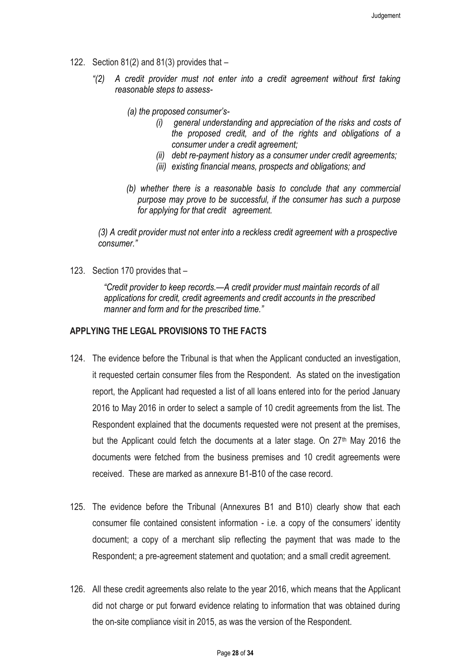- 122. Section 81(2) and 81(3) provides that
	- *"(2) A credit provider must not enter into a credit agreement without first taking reasonable steps to assess-*
		- *(a) the proposed consumer's-*
			- *(i) general understanding and appreciation of the risks and costs of the proposed credit, and of the rights and obligations of a consumer under a credit agreement;*
			- *(ii) debt re-payment history as a consumer under credit agreements;*
			- *(iii) existing financial means, prospects and obligations; and*
		- *(b) whether there is a reasonable basis to conclude that any commercial purpose may prove to be successful, if the consumer has such a purpose for applying for that credit agreement.*

*(3) A credit provider must not enter into a reckless credit agreement with a prospective consumer."*

123. Section 170 provides that –

*"Credit provider to keep records.—A credit provider must maintain records of all applications for credit, credit agreements and credit accounts in the prescribed manner and form and for the prescribed time."*

### **APPLYING THE LEGAL PROVISIONS TO THE FACTS**

- 124. The evidence before the Tribunal is that when the Applicant conducted an investigation, it requested certain consumer files from the Respondent. As stated on the investigation report, the Applicant had requested a list of all loans entered into for the period January 2016 to May 2016 in order to select a sample of 10 credit agreements from the list. The Respondent explained that the documents requested were not present at the premises, but the Applicant could fetch the documents at a later stage. On  $27<sup>th</sup>$  May 2016 the documents were fetched from the business premises and 10 credit agreements were received. These are marked as annexure B1-B10 of the case record.
- 125. The evidence before the Tribunal (Annexures B1 and B10) clearly show that each consumer file contained consistent information - i.e. a copy of the consumers' identity document; a copy of a merchant slip reflecting the payment that was made to the Respondent; a pre-agreement statement and quotation; and a small credit agreement.
- 126. All these credit agreements also relate to the year 2016, which means that the Applicant did not charge or put forward evidence relating to information that was obtained during the on-site compliance visit in 2015, as was the version of the Respondent.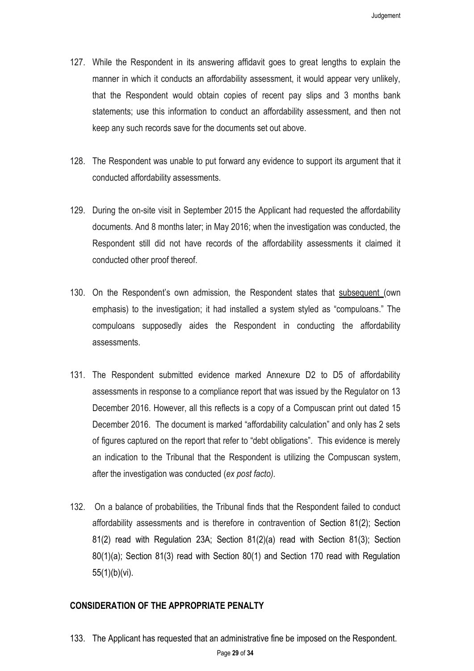- 127. While the Respondent in its answering affidavit goes to great lengths to explain the manner in which it conducts an affordability assessment, it would appear very unlikely, that the Respondent would obtain copies of recent pay slips and 3 months bank statements; use this information to conduct an affordability assessment, and then not keep any such records save for the documents set out above.
- 128. The Respondent was unable to put forward any evidence to support its argument that it conducted affordability assessments.
- 129. During the on-site visit in September 2015 the Applicant had requested the affordability documents. And 8 months later; in May 2016; when the investigation was conducted, the Respondent still did not have records of the affordability assessments it claimed it conducted other proof thereof.
- 130. On the Respondent's own admission, the Respondent states that subsequent (own emphasis) to the investigation; it had installed a system styled as "compuloans." The compuloans supposedly aides the Respondent in conducting the affordability assessments.
- 131. The Respondent submitted evidence marked Annexure D2 to D5 of affordability assessments in response to a compliance report that was issued by the Regulator on 13 December 2016. However, all this reflects is a copy of a Compuscan print out dated 15 December 2016. The document is marked "affordability calculation" and only has 2 sets of figures captured on the report that refer to "debt obligations". This evidence is merely an indication to the Tribunal that the Respondent is utilizing the Compuscan system, after the investigation was conducted (*ex post facto).*
- 132. On a balance of probabilities, the Tribunal finds that the Respondent failed to conduct affordability assessments and is therefore in contravention of Section 81(2); Section 81(2) read with Regulation 23A; Section 81(2)(a) read with Section 81(3); Section 80(1)(a); Section 81(3) read with Section 80(1) and Section 170 read with Regulation 55(1)(b)(vi).

### **CONSIDERATION OF THE APPROPRIATE PENALTY**

133. The Applicant has requested that an administrative fine be imposed on the Respondent.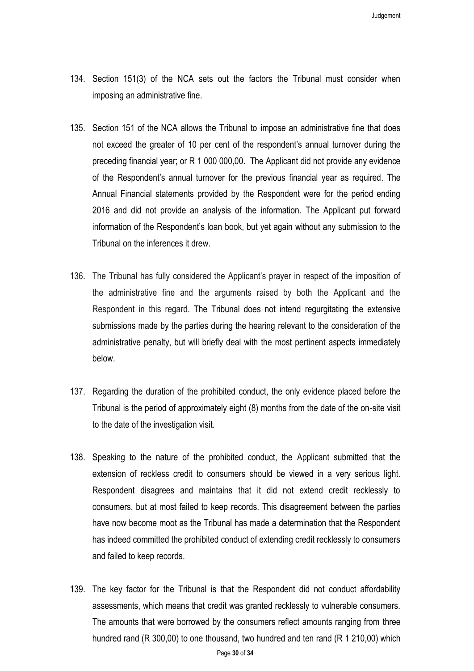- 134. Section 151(3) of the NCA sets out the factors the Tribunal must consider when imposing an administrative fine.
- 135. Section 151 of the NCA allows the Tribunal to impose an administrative fine that does not exceed the greater of 10 per cent of the respondent's annual turnover during the preceding financial year; or R 1 000 000,00. The Applicant did not provide any evidence of the Respondent's annual turnover for the previous financial year as required. The Annual Financial statements provided by the Respondent were for the period ending 2016 and did not provide an analysis of the information. The Applicant put forward information of the Respondent's loan book, but yet again without any submission to the Tribunal on the inferences it drew.
- 136. The Tribunal has fully considered the Applicant's prayer in respect of the imposition of the administrative fine and the arguments raised by both the Applicant and the Respondent in this regard. The Tribunal does not intend regurgitating the extensive submissions made by the parties during the hearing relevant to the consideration of the administrative penalty, but will briefly deal with the most pertinent aspects immediately below.
- 137. Regarding the duration of the prohibited conduct, the only evidence placed before the Tribunal is the period of approximately eight (8) months from the date of the on-site visit to the date of the investigation visit.
- 138. Speaking to the nature of the prohibited conduct, the Applicant submitted that the extension of reckless credit to consumers should be viewed in a very serious light. Respondent disagrees and maintains that it did not extend credit recklessly to consumers, but at most failed to keep records. This disagreement between the parties have now become moot as the Tribunal has made a determination that the Respondent has indeed committed the prohibited conduct of extending credit recklessly to consumers and failed to keep records.
- 139. The key factor for the Tribunal is that the Respondent did not conduct affordability assessments, which means that credit was granted recklessly to vulnerable consumers. The amounts that were borrowed by the consumers reflect amounts ranging from three hundred rand (R 300,00) to one thousand, two hundred and ten rand (R 1 210,00) which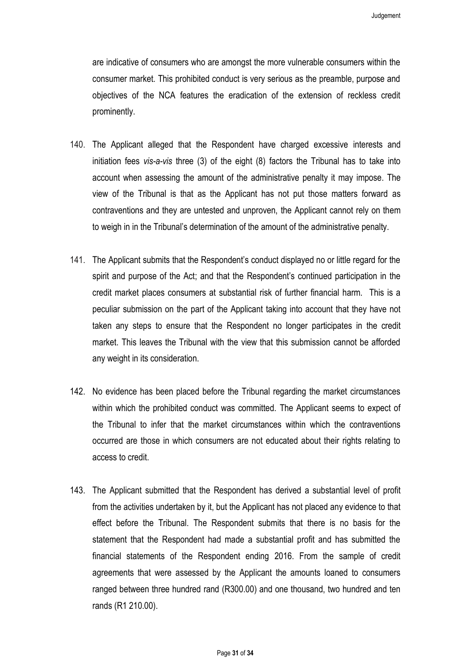are indicative of consumers who are amongst the more vulnerable consumers within the consumer market. This prohibited conduct is very serious as the preamble, purpose and objectives of the NCA features the eradication of the extension of reckless credit prominently.

- 140. The Applicant alleged that the Respondent have charged excessive interests and initiation fees *vis-a-vis* three (3) of the eight (8) factors the Tribunal has to take into account when assessing the amount of the administrative penalty it may impose. The view of the Tribunal is that as the Applicant has not put those matters forward as contraventions and they are untested and unproven, the Applicant cannot rely on them to weigh in in the Tribunal's determination of the amount of the administrative penalty.
- 141. The Applicant submits that the Respondent's conduct displayed no or little regard for the spirit and purpose of the Act; and that the Respondent's continued participation in the credit market places consumers at substantial risk of further financial harm. This is a peculiar submission on the part of the Applicant taking into account that they have not taken any steps to ensure that the Respondent no longer participates in the credit market. This leaves the Tribunal with the view that this submission cannot be afforded any weight in its consideration.
- 142. No evidence has been placed before the Tribunal regarding the market circumstances within which the prohibited conduct was committed. The Applicant seems to expect of the Tribunal to infer that the market circumstances within which the contraventions occurred are those in which consumers are not educated about their rights relating to access to credit.
- 143. The Applicant submitted that the Respondent has derived a substantial level of profit from the activities undertaken by it, but the Applicant has not placed any evidence to that effect before the Tribunal. The Respondent submits that there is no basis for the statement that the Respondent had made a substantial profit and has submitted the financial statements of the Respondent ending 2016. From the sample of credit agreements that were assessed by the Applicant the amounts loaned to consumers ranged between three hundred rand (R300.00) and one thousand, two hundred and ten rands (R1 210.00).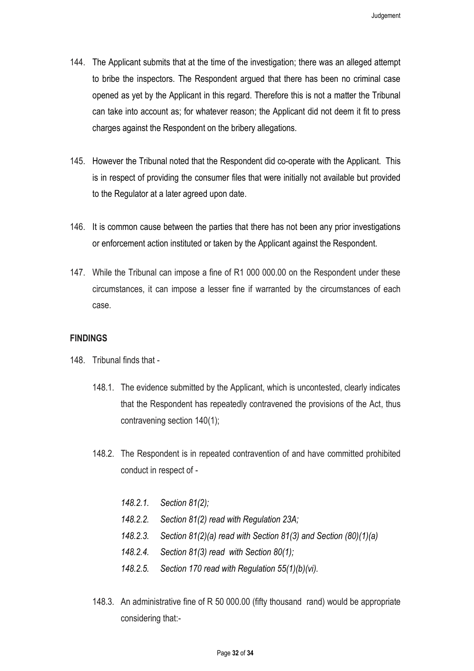- 144. The Applicant submits that at the time of the investigation; there was an alleged attempt to bribe the inspectors. The Respondent argued that there has been no criminal case opened as yet by the Applicant in this regard. Therefore this is not a matter the Tribunal can take into account as; for whatever reason; the Applicant did not deem it fit to press charges against the Respondent on the bribery allegations.
- 145. However the Tribunal noted that the Respondent did co-operate with the Applicant. This is in respect of providing the consumer files that were initially not available but provided to the Regulator at a later agreed upon date.
- 146. It is common cause between the parties that there has not been any prior investigations or enforcement action instituted or taken by the Applicant against the Respondent.
- 147. While the Tribunal can impose a fine of R1 000 000.00 on the Respondent under these circumstances, it can impose a lesser fine if warranted by the circumstances of each case.

#### **FINDINGS**

- 148. Tribunal finds that
	- 148.1. The evidence submitted by the Applicant, which is uncontested, clearly indicates that the Respondent has repeatedly contravened the provisions of the Act, thus contravening section 140(1);
	- 148.2. The Respondent is in repeated contravention of and have committed prohibited conduct in respect of -
		- *148.2.1. Section 81(2);*
		- *148.2.2. Section 81(2) read with Regulation 23A;*
		- *148.2.3. Section 81(2)(a) read with Section 81(3) and Section (80)(1)(a)*
		- *148.2.4. Section 81(3) read with Section 80(1);*
		- *148.2.5. Section 170 read with Regulation 55(1)(b)(vi).*
	- 148.3. An administrative fine of R 50 000.00 (fifty thousand rand) would be appropriate considering that:-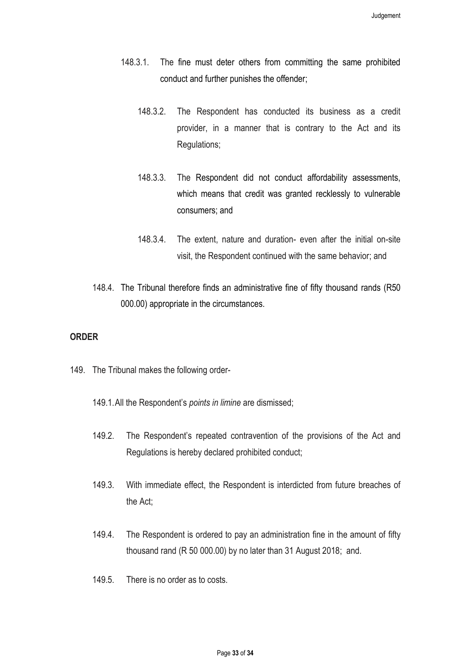- 148.3.1. The fine must deter others from committing the same prohibited conduct and further punishes the offender;
	- 148.3.2. The Respondent has conducted its business as a credit provider, in a manner that is contrary to the Act and its Regulations;
	- 148.3.3. The Respondent did not conduct affordability assessments, which means that credit was granted recklessly to vulnerable consumers; and
	- 148.3.4. The extent, nature and duration- even after the initial on-site visit, the Respondent continued with the same behavior; and
- 148.4. The Tribunal therefore finds an administrative fine of fifty thousand rands (R50 000.00) appropriate in the circumstances.

## **ORDER**

- 149. The Tribunal makes the following order-
	- 149.1.All the Respondent's *points in limine* are dismissed;
	- 149.2. The Respondent's repeated contravention of the provisions of the Act and Regulations is hereby declared prohibited conduct;
	- 149.3. With immediate effect, the Respondent is interdicted from future breaches of the Act;
	- 149.4. The Respondent is ordered to pay an administration fine in the amount of fifty thousand rand (R 50 000.00) by no later than 31 August 2018; and.
	- 149.5. There is no order as to costs.